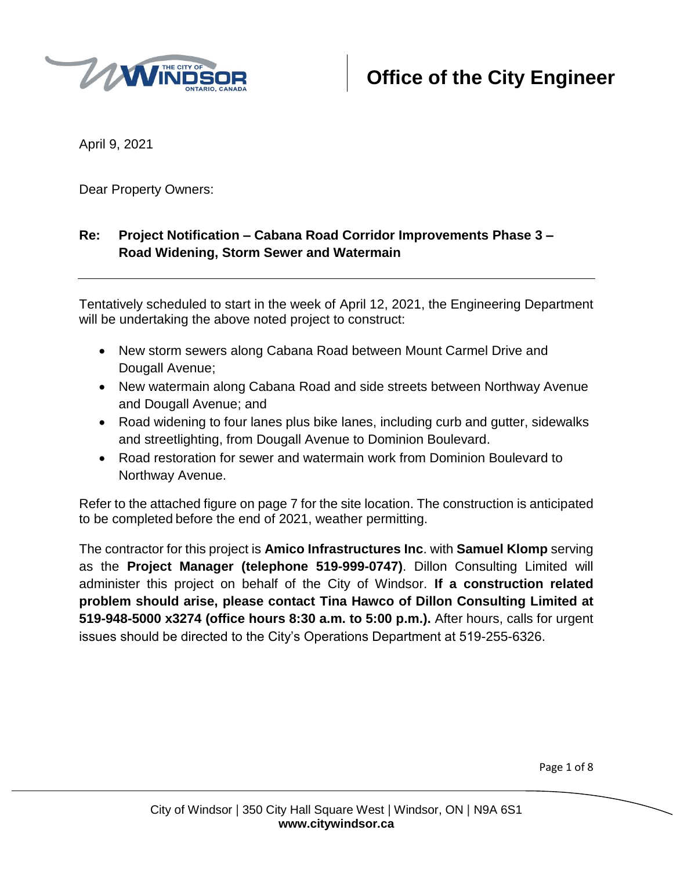

April 9, 2021

Dear Property Owners:

# **Re: Project Notification – Cabana Road Corridor Improvements Phase 3 – Road Widening, Storm Sewer and Watermain**

Tentatively scheduled to start in the week of April 12, 2021, the Engineering Department will be undertaking the above noted project to construct:

- New storm sewers along Cabana Road between Mount Carmel Drive and Dougall Avenue;
- New watermain along Cabana Road and side streets between Northway Avenue and Dougall Avenue; and
- Road widening to four lanes plus bike lanes, including curb and gutter, sidewalks and streetlighting, from Dougall Avenue to Dominion Boulevard.
- Road restoration for sewer and watermain work from Dominion Boulevard to Northway Avenue.

Refer to the attached figure on page 7 for the site location. The construction is anticipated to be completed before the end of 2021, weather permitting.

The contractor for this project is **Amico Infrastructures Inc**. with **Samuel Klomp** serving as the **Project Manager (telephone 519-999-0747)**. Dillon Consulting Limited will administer this project on behalf of the City of Windsor. **If a construction related problem should arise, please contact Tina Hawco of Dillon Consulting Limited at 519-948-5000 x3274 (office hours 8:30 a.m. to 5:00 p.m.).** After hours, calls for urgent issues should be directed to the City's Operations Department at 519-255-6326.

Page 1 of 8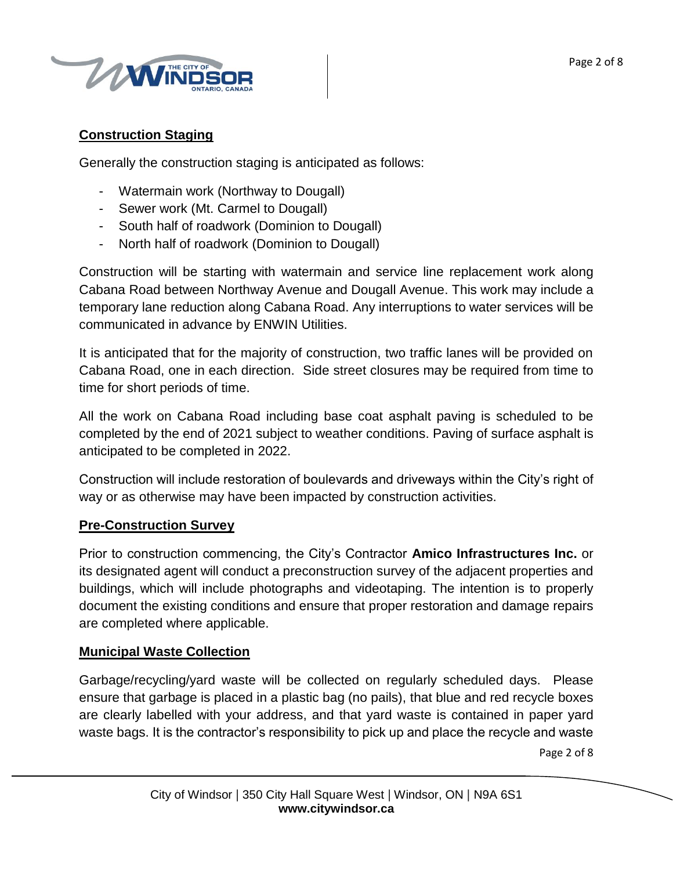

# **Construction Staging**

Generally the construction staging is anticipated as follows:

- Watermain work (Northway to Dougall)
- Sewer work (Mt. Carmel to Dougall)
- South half of roadwork (Dominion to Dougall)
- North half of roadwork (Dominion to Dougall)

Construction will be starting with watermain and service line replacement work along Cabana Road between Northway Avenue and Dougall Avenue. This work may include a temporary lane reduction along Cabana Road. Any interruptions to water services will be communicated in advance by ENWIN Utilities.

It is anticipated that for the majority of construction, two traffic lanes will be provided on Cabana Road, one in each direction. Side street closures may be required from time to time for short periods of time.

All the work on Cabana Road including base coat asphalt paving is scheduled to be completed by the end of 2021 subject to weather conditions. Paving of surface asphalt is anticipated to be completed in 2022.

Construction will include restoration of boulevards and driveways within the City's right of way or as otherwise may have been impacted by construction activities.

# **Pre-Construction Survey**

Prior to construction commencing, the City's Contractor **Amico Infrastructures Inc.** or its designated agent will conduct a preconstruction survey of the adjacent properties and buildings, which will include photographs and videotaping. The intention is to properly document the existing conditions and ensure that proper restoration and damage repairs are completed where applicable.

# **Municipal Waste Collection**

Garbage/recycling/yard waste will be collected on regularly scheduled days. Please ensure that garbage is placed in a plastic bag (no pails), that blue and red recycle boxes are clearly labelled with your address, and that yard waste is contained in paper yard waste bags. It is the contractor's responsibility to pick up and place the recycle and waste

Page 2 of 8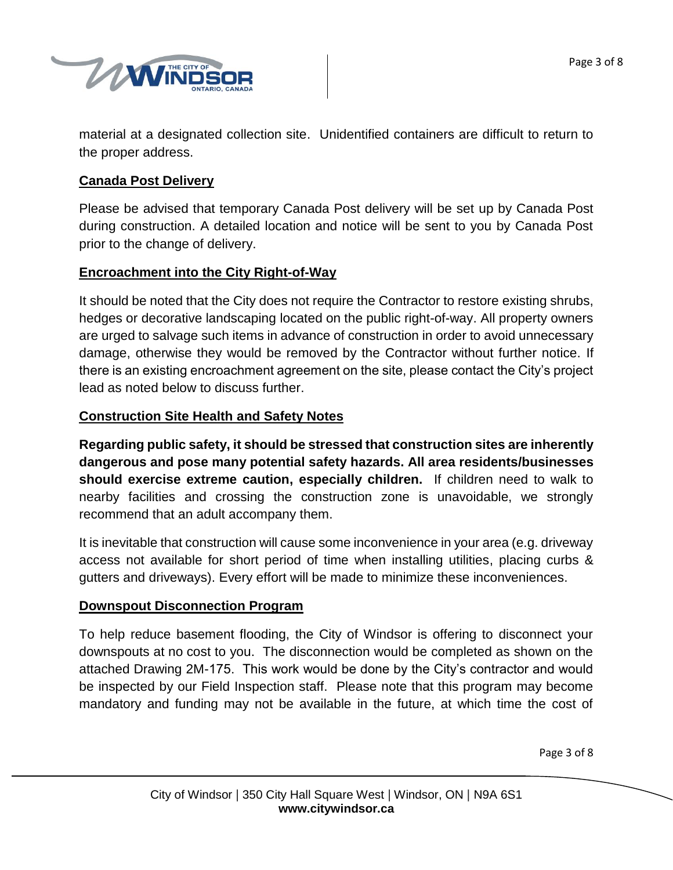

material at a designated collection site. Unidentified containers are difficult to return to the proper address.

## **Canada Post Delivery**

Please be advised that temporary Canada Post delivery will be set up by Canada Post during construction. A detailed location and notice will be sent to you by Canada Post prior to the change of delivery.

## **Encroachment into the City Right-of-Way**

It should be noted that the City does not require the Contractor to restore existing shrubs, hedges or decorative landscaping located on the public right-of-way. All property owners are urged to salvage such items in advance of construction in order to avoid unnecessary damage, otherwise they would be removed by the Contractor without further notice. If there is an existing encroachment agreement on the site, please contact the City's project lead as noted below to discuss further.

## **Construction Site Health and Safety Notes**

**Regarding public safety, it should be stressed that construction sites are inherently dangerous and pose many potential safety hazards. All area residents/businesses should exercise extreme caution, especially children.** If children need to walk to nearby facilities and crossing the construction zone is unavoidable, we strongly recommend that an adult accompany them.

It is inevitable that construction will cause some inconvenience in your area (e.g. driveway access not available for short period of time when installing utilities, placing curbs & gutters and driveways). Every effort will be made to minimize these inconveniences.

### **Downspout Disconnection Program**

To help reduce basement flooding, the City of Windsor is offering to disconnect your downspouts at no cost to you. The disconnection would be completed as shown on the attached Drawing 2M-175. This work would be done by the City's contractor and would be inspected by our Field Inspection staff. Please note that this program may become mandatory and funding may not be available in the future, at which time the cost of

Page 3 of 8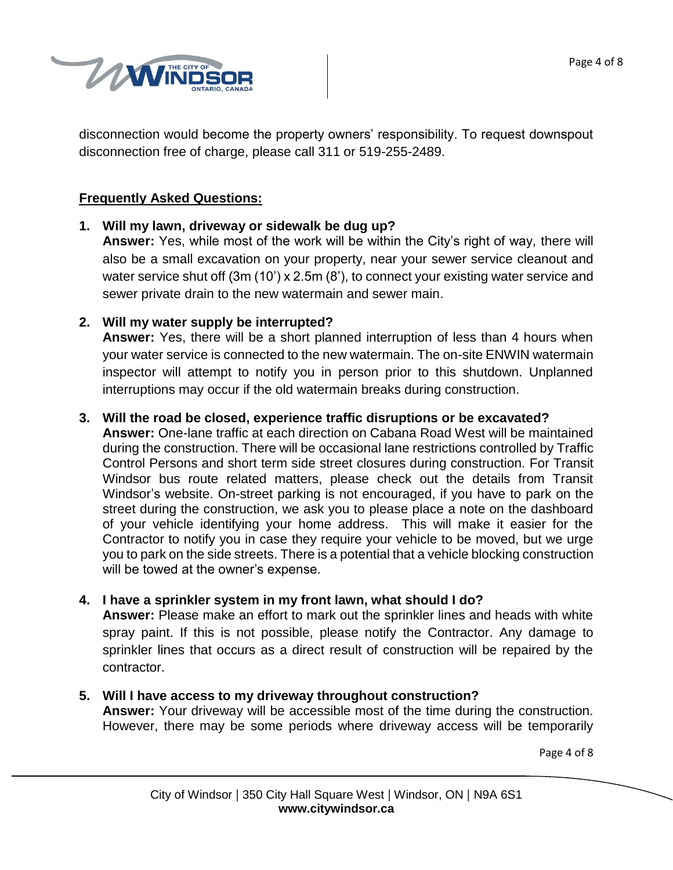

disconnection would become the property owners' responsibility. To request downspout disconnection free of charge, please call 311 or 519-255-2489.

## **Frequently Asked Questions:**

**1. Will my lawn, driveway or sidewalk be dug up?**

**Answer:** Yes, while most of the work will be within the City's right of way, there will also be a small excavation on your property, near your sewer service cleanout and water service shut off (3m (10') x 2.5m (8'), to connect your existing water service and sewer private drain to the new watermain and sewer main.

### **2. Will my water supply be interrupted?**

**Answer:** Yes, there will be a short planned interruption of less than 4 hours when your water service is connected to the new watermain. The on-site ENWIN watermain inspector will attempt to notify you in person prior to this shutdown. Unplanned interruptions may occur if the old watermain breaks during construction.

### **3. Will the road be closed, experience traffic disruptions or be excavated?**

**Answer:** One-lane traffic at each direction on Cabana Road West will be maintained during the construction. There will be occasional lane restrictions controlled by Traffic Control Persons and short term side street closures during construction. For Transit Windsor bus route related matters, please check out the details from Transit Windsor's website. On-street parking is not encouraged, if you have to park on the street during the construction, we ask you to please place a note on the dashboard of your vehicle identifying your home address. This will make it easier for the Contractor to notify you in case they require your vehicle to be moved, but we urge you to park on the side streets. There is a potential that a vehicle blocking construction will be towed at the owner's expense.

### **4. I have a sprinkler system in my front lawn, what should I do?**

**Answer:** Please make an effort to mark out the sprinkler lines and heads with white spray paint. If this is not possible, please notify the Contractor. Any damage to sprinkler lines that occurs as a direct result of construction will be repaired by the contractor.

### **5. Will I have access to my driveway throughout construction?**

**Answer:** Your driveway will be accessible most of the time during the construction. However, there may be some periods where driveway access will be temporarily

Page 4 of 8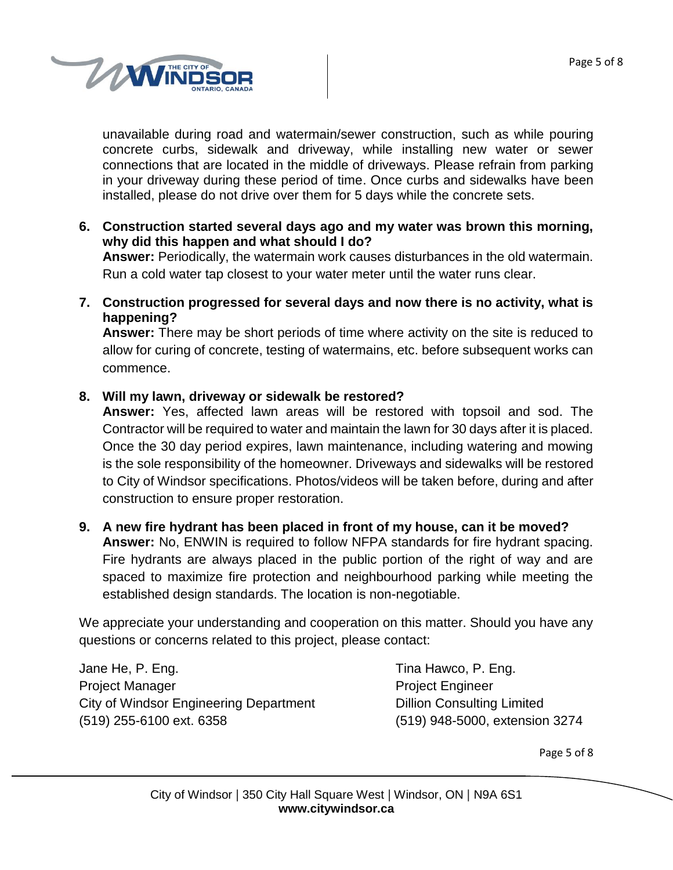

unavailable during road and watermain/sewer construction, such as while pouring concrete curbs, sidewalk and driveway, while installing new water or sewer connections that are located in the middle of driveways. Please refrain from parking in your driveway during these period of time. Once curbs and sidewalks have been installed, please do not drive over them for 5 days while the concrete sets.

**6. Construction started several days ago and my water was brown this morning, why did this happen and what should I do?**

**Answer:** Periodically, the watermain work causes disturbances in the old watermain. Run a cold water tap closest to your water meter until the water runs clear.

**7. Construction progressed for several days and now there is no activity, what is happening?**

**Answer:** There may be short periods of time where activity on the site is reduced to allow for curing of concrete, testing of watermains, etc. before subsequent works can commence.

## **8. Will my lawn, driveway or sidewalk be restored?**

**Answer:** Yes, affected lawn areas will be restored with topsoil and sod. The Contractor will be required to water and maintain the lawn for 30 days after it is placed. Once the 30 day period expires, lawn maintenance, including watering and mowing is the sole responsibility of the homeowner. Driveways and sidewalks will be restored to City of Windsor specifications. Photos/videos will be taken before, during and after construction to ensure proper restoration.

### **9. A new fire hydrant has been placed in front of my house, can it be moved?**

**Answer:** No, ENWIN is required to follow NFPA standards for fire hydrant spacing. Fire hydrants are always placed in the public portion of the right of way and are spaced to maximize fire protection and neighbourhood parking while meeting the established design standards. The location is non-negotiable.

We appreciate your understanding and cooperation on this matter. Should you have any questions or concerns related to this project, please contact:

Jane He, P. Eng. Tina Hawco, P. Eng. Project Manager **Project Engineer** City of Windsor Engineering Department Dillion Consulting Limited (519) 255-6100 ext. 6358 (519) 948-5000, extension 3274

Page 5 of 8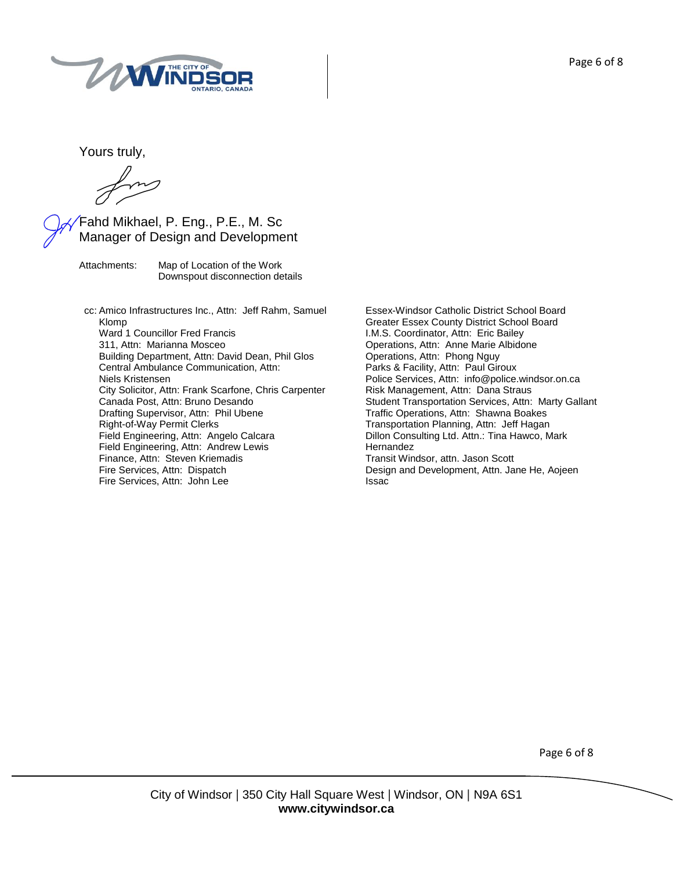

Yours truly,

forms

## Fahd Mikhael, P. Eng., P.E., M. Sc Manager of Design and Development

Attachments: Map of Location of the Work Downspout disconnection details

cc: Amico Infrastructures Inc., Attn: Jeff Rahm, Samuel Klomp Ward 1 Councillor Fred Francis 311, Attn: Marianna Mosceo Building Department, Attn: David Dean, Phil Glos Central Ambulance Communication, Attn: Niels Kristensen City Solicitor, Attn: Frank Scarfone, Chris Carpenter Canada Post, Attn: Bruno Desando Drafting Supervisor, Attn: Phil Ubene Right-of-Way Permit Clerks Field Engineering, Attn: Angelo Calcara Field Engineering, Attn: Andrew Lewis Finance, Attn: Steven Kriemadis Fire Services, Attn: Dispatch Fire Services, Attn: John Lee

Essex-Windsor Catholic District School Board Greater Essex County District School Board I.M.S. Coordinator, Attn: Eric Bailey Operations, Attn: Anne Marie Albidone Operations, Attn: Phong Nguy Parks & Facility, Attn: Paul Giroux Police Services, Attn: info@police.windsor.on.ca Risk Management, Attn: Dana Straus Student Transportation Services, Attn: Marty Gallant Traffic Operations, Attn: Shawna Boakes Transportation Planning, Attn: Jeff Hagan Dillon Consulting Ltd. Attn.: Tina Hawco, Mark **Hernandez** Transit Windsor, attn. Jason Scott Design and Development, Attn. Jane He, Aojeen Issac

Page 6 of 8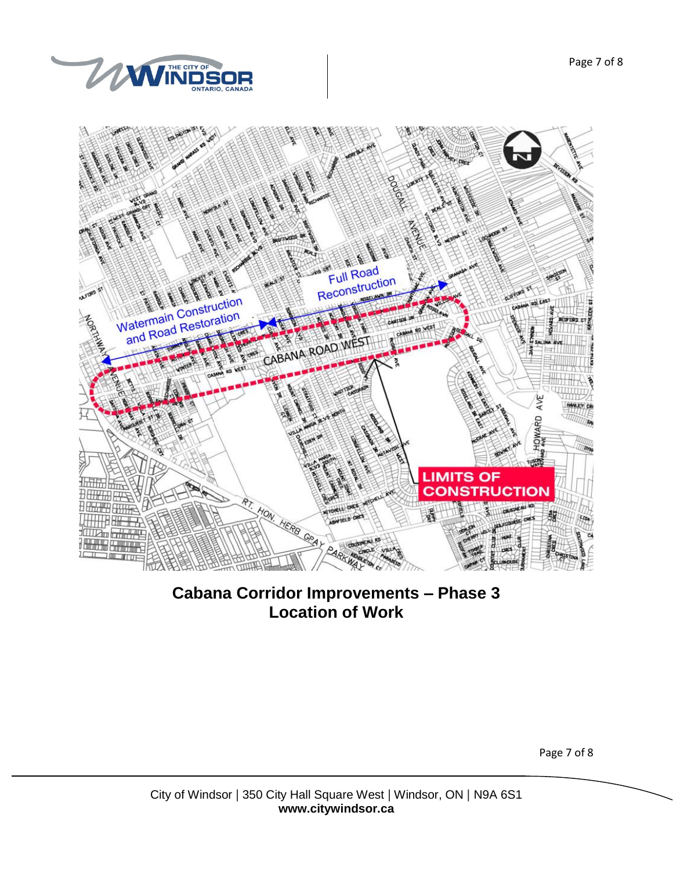



**Cabana Corridor Improvements – Phase 3 Location of Work**